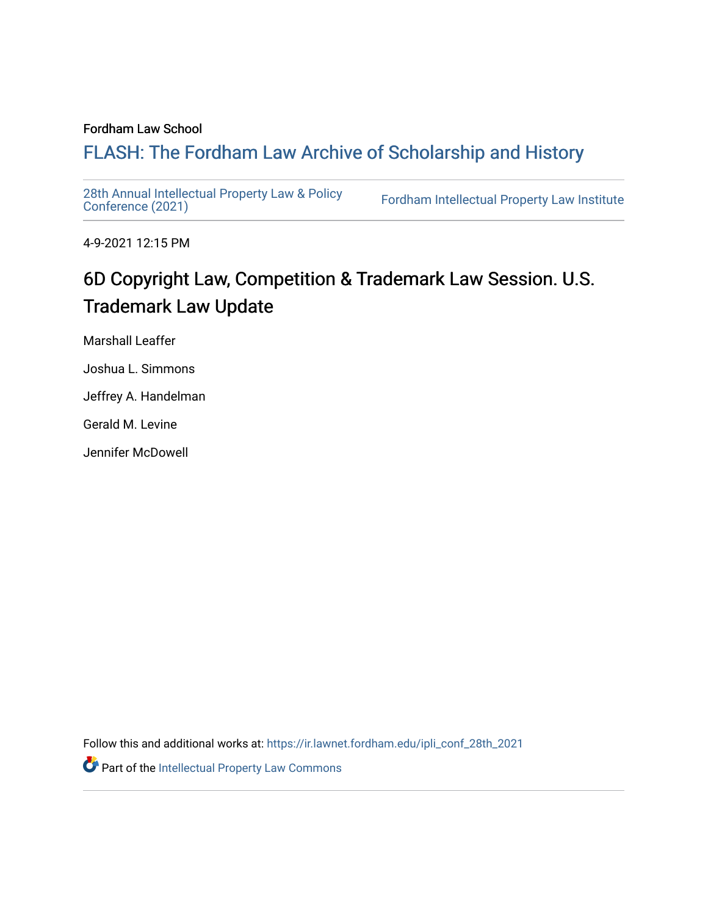### Fordham Law School

# FLASH: The For[dham Law Archive of Scholarship and Hist](https://ir.lawnet.fordham.edu/)ory

[28th Annual Intellectual Property Law & Policy](https://ir.lawnet.fordham.edu/ipli_conf_28th_2021)<br>Conference (2021)

Fordham Intellectual Property Law Institute

4-9-2021 12:15 PM

# 6D Copyright Law, Competition & Trademark Law Session. U.S. Trademark Law Update

Marshall Leaffer

Joshua L. Simmons

Jeffrey A. Handelman

Gerald M. Levine

Jennifer McDowell

Follow this and additional works at: [https://ir.lawnet.fordham.edu/ipli\\_conf\\_28th\\_2021](https://ir.lawnet.fordham.edu/ipli_conf_28th_2021?utm_source=ir.lawnet.fordham.edu%2Fipli_conf_28th_2021%2F20&utm_medium=PDF&utm_campaign=PDFCoverPages) 

Part of the [Intellectual Property Law Commons](http://network.bepress.com/hgg/discipline/896?utm_source=ir.lawnet.fordham.edu%2Fipli_conf_28th_2021%2F20&utm_medium=PDF&utm_campaign=PDFCoverPages)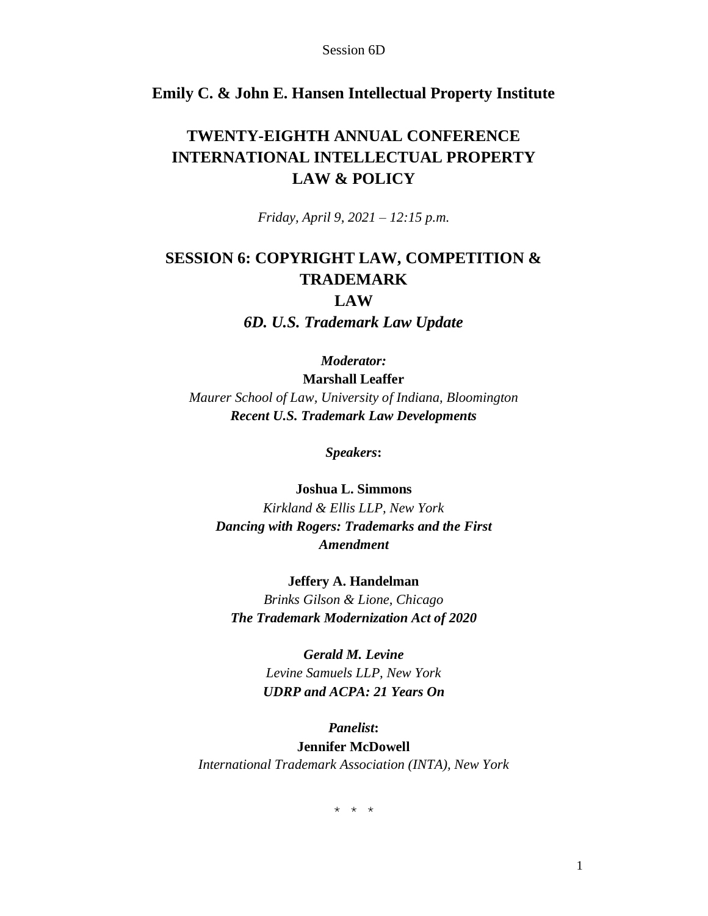## **Emily C. & John E. Hansen Intellectual Property Institute**

## **TWENTY-EIGHTH ANNUAL CONFERENCE INTERNATIONAL INTELLECTUAL PROPERTY LAW & POLICY**

*Friday, April 9, 2021 – 12:15 p.m.*

## **SESSION 6: COPYRIGHT LAW, COMPETITION & TRADEMARK LAW**

*6D. U.S. Trademark Law Update*

*Moderator:*

**Marshall Leaffer** *Maurer School of Law, University of Indiana, Bloomington Recent U.S. Trademark Law Developments*

*Speakers***:**

**Joshua L. Simmons** *Kirkland & Ellis LLP, New York Dancing with Rogers: Trademarks and the First Amendment*

**Jeffery A. Handelman** *Brinks Gilson & Lione, Chicago The Trademark Modernization Act of 2020*

> *Gerald M. Levine Levine Samuels LLP, New York UDRP and ACPA: 21 Years On*

*Panelist***: Jennifer McDowell** *International Trademark Association (INTA), New York*

\* \* \*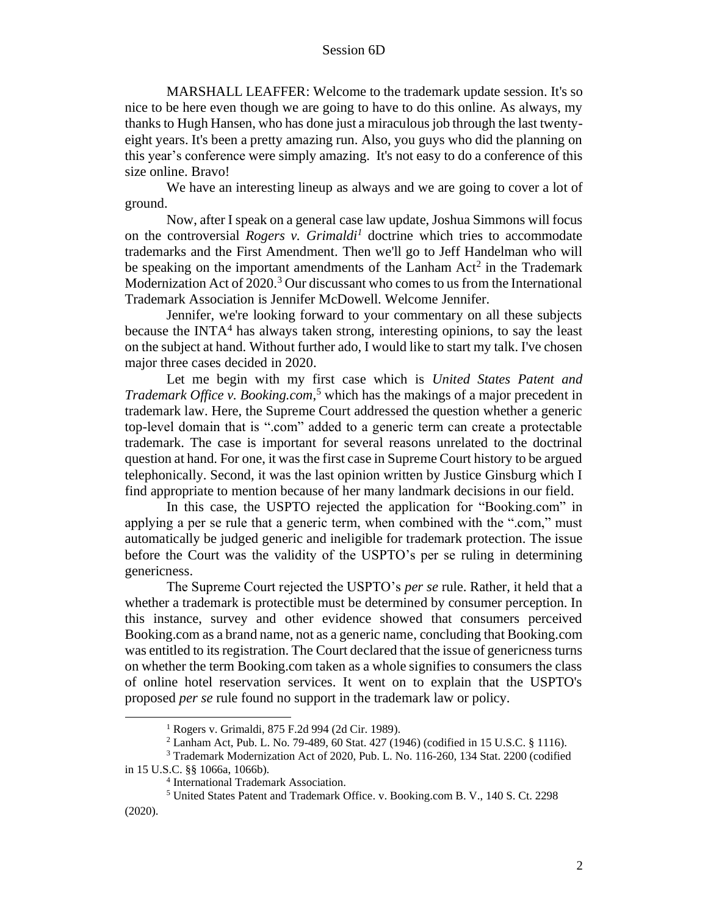MARSHALL LEAFFER: Welcome to the trademark update session. It's so nice to be here even though we are going to have to do this online. As always, my thanks to Hugh Hansen, who has done just a miraculous job through the last twentyeight years. It's been a pretty amazing run. Also, you guys who did the planning on this year's conference were simply amazing. It's not easy to do a conference of this size online. Bravo!

We have an interesting lineup as always and we are going to cover a lot of ground.

Now, after I speak on a general case law update, Joshua Simmons will focus on the controversial *Rogers v. Grimaldi<sup>1</sup>* doctrine which tries to accommodate trademarks and the First Amendment. Then we'll go to Jeff Handelman who will be speaking on the important amendments of the Lanham  $Act<sup>2</sup>$  in the Trademark Modernization Act of  $2020<sup>3</sup>$  Our discussant who comes to us from the International Trademark Association is Jennifer McDowell. Welcome Jennifer.

Jennifer, we're looking forward to your commentary on all these subjects because the INTA<sup>4</sup> has always taken strong, interesting opinions, to say the least on the subject at hand. Without further ado, I would like to start my talk. I've chosen major three cases decided in 2020.

Let me begin with my first case which is *United States Patent and Trademark Office v. Booking.com*, <sup>5</sup> which has the makings of a major precedent in trademark law. Here, the Supreme Court addressed the question whether a generic top-level domain that is ".com" added to a generic term can create a protectable trademark. The case is important for several reasons unrelated to the doctrinal question at hand. For one, it was the first case in Supreme Court history to be argued telephonically. Second, it was the last opinion written by Justice Ginsburg which I find appropriate to mention because of her many landmark decisions in our field.

In this case, the USPTO rejected the application for "Booking.com" in applying a per se rule that a generic term, when combined with the ".com," must automatically be judged generic and ineligible for trademark protection. The issue before the Court was the validity of the USPTO's per se ruling in determining genericness.

The Supreme Court rejected the USPTO's *per se* rule. Rather, it held that a whether a trademark is protectible must be determined by consumer perception. In this instance, survey and other evidence showed that consumers perceived Booking.com as a brand name, not as a generic name, concluding that Booking.com was entitled to its registration. The Court declared that the issue of genericness turns on whether the term Booking.com taken as a whole signifies to consumers the class of online hotel reservation services. It went on to explain that the USPTO's proposed *per se* rule found no support in the trademark law or policy.

<sup>1</sup> Rogers v. Grimaldi, 875 F.2d 994 (2d Cir. 1989).

<sup>2</sup> Lanham Act, Pub. L. No. 79-489, 60 Stat. 427 (1946) (codified in 15 U.S.C. § 1116).

<sup>3</sup> Trademark Modernization Act of 2020, Pub. L. No. 116-260, 134 Stat. 2200 (codified

in 15 U.S.C. §§ 1066a, 1066b).

<sup>4</sup> International Trademark Association.

<sup>5</sup> United States Patent and Trademark Office. v. Booking.com B. V., 140 S. Ct. 2298 (2020).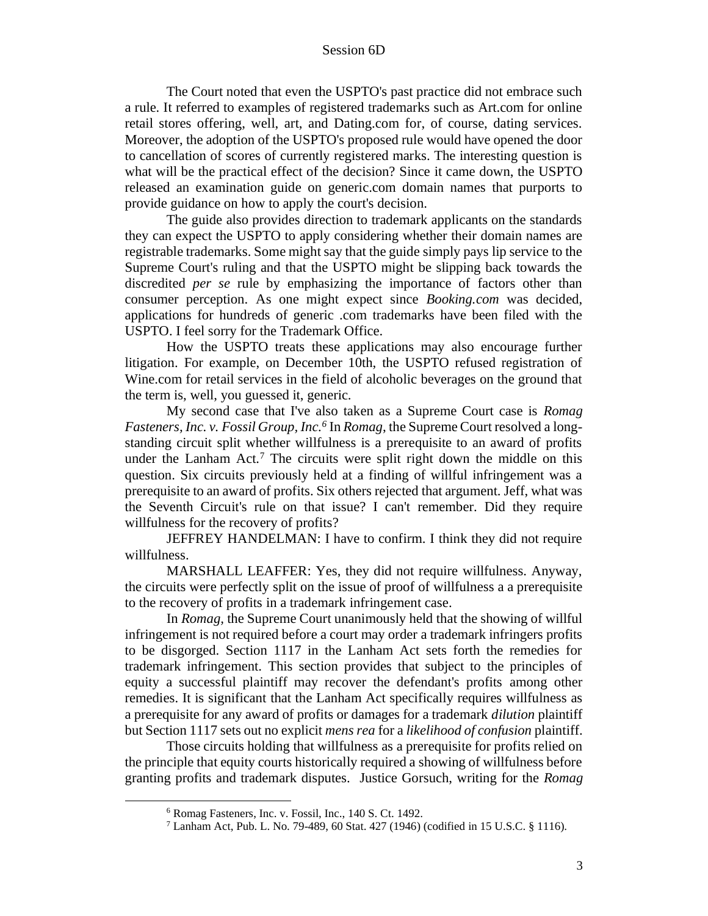The Court noted that even the USPTO's past practice did not embrace such a rule. It referred to examples of registered trademarks such as Art.com for online retail stores offering, well, art, and Dating.com for, of course, dating services. Moreover, the adoption of the USPTO's proposed rule would have opened the door to cancellation of scores of currently registered marks. The interesting question is what will be the practical effect of the decision? Since it came down, the USPTO released an examination guide on generic.com domain names that purports to provide guidance on how to apply the court's decision.

The guide also provides direction to trademark applicants on the standards they can expect the USPTO to apply considering whether their domain names are registrable trademarks. Some might say that the guide simply pays lip service to the Supreme Court's ruling and that the USPTO might be slipping back towards the discredited *per se* rule by emphasizing the importance of factors other than consumer perception. As one might expect since *Booking.com* was decided, applications for hundreds of generic .com trademarks have been filed with the USPTO. I feel sorry for the Trademark Office.

How the USPTO treats these applications may also encourage further litigation. For example, on December 10th, the USPTO refused registration of Wine.com for retail services in the field of alcoholic beverages on the ground that the term is, well, you guessed it, generic.

My second case that I've also taken as a Supreme Court case is *Romag Fasteners, Inc. v. Fossil Group, Inc. 6* In *Romag*, the Supreme Court resolved a longstanding circuit split whether willfulness is a prerequisite to an award of profits under the Lanham Act.<sup>7</sup> The circuits were split right down the middle on this question. Six circuits previously held at a finding of willful infringement was a prerequisite to an award of profits. Six others rejected that argument. Jeff, what was the Seventh Circuit's rule on that issue? I can't remember. Did they require willfulness for the recovery of profits?

JEFFREY HANDELMAN: I have to confirm. I think they did not require willfulness.

MARSHALL LEAFFER: Yes, they did not require willfulness. Anyway, the circuits were perfectly split on the issue of proof of willfulness a a prerequisite to the recovery of profits in a trademark infringement case.

In *Romag,* the Supreme Court unanimously held that the showing of willful infringement is not required before a court may order a trademark infringers profits to be disgorged. Section 1117 in the Lanham Act sets forth the remedies for trademark infringement. This section provides that subject to the principles of equity a successful plaintiff may recover the defendant's profits among other remedies. It is significant that the Lanham Act specifically requires willfulness as a prerequisite for any award of profits or damages for a trademark *dilution* plaintiff but Section 1117 sets out no explicit *mens rea* for a *likelihood of confusion* plaintiff.

Those circuits holding that willfulness as a prerequisite for profits relied on the principle that equity courts historically required a showing of willfulness before granting profits and trademark disputes. Justice Gorsuch, writing for the *Romag*

<sup>6</sup> Romag Fasteners, Inc. v. Fossil, Inc., 140 S. Ct. 1492.

<sup>7</sup> Lanham Act, Pub. L. No. 79-489, 60 Stat. 427 (1946) (codified in 15 U.S.C. § 1116).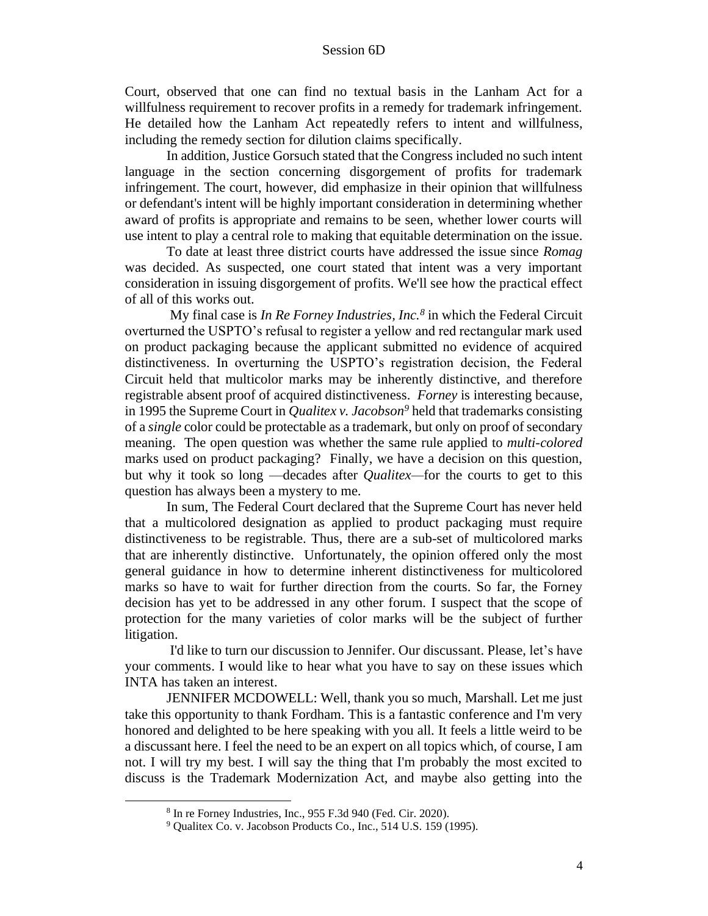Court, observed that one can find no textual basis in the Lanham Act for a willfulness requirement to recover profits in a remedy for trademark infringement. He detailed how the Lanham Act repeatedly refers to intent and willfulness, including the remedy section for dilution claims specifically.

In addition, Justice Gorsuch stated that the Congress included no such intent language in the section concerning disgorgement of profits for trademark infringement. The court, however, did emphasize in their opinion that willfulness or defendant's intent will be highly important consideration in determining whether award of profits is appropriate and remains to be seen, whether lower courts will use intent to play a central role to making that equitable determination on the issue.

To date at least three district courts have addressed the issue since *Romag* was decided. As suspected, one court stated that intent was a very important consideration in issuing disgorgement of profits. We'll see how the practical effect of all of this works out.

My final case is *In Re Forney Industries, Inc.<sup>8</sup>* in which the Federal Circuit overturned the USPTO's refusal to register a yellow and red rectangular mark used on product packaging because the applicant submitted no evidence of acquired distinctiveness. In overturning the USPTO's registration decision, the Federal Circuit held that multicolor marks may be inherently distinctive, and therefore registrable absent proof of acquired distinctiveness. *Forney* is interesting because, in 1995 the Supreme Court in *Qualitex v. Jacobson <sup>9</sup>* held that trademarks consisting of a *single* color could be protectable as a trademark, but only on proof of secondary meaning. The open question was whether the same rule applied to *multi-colored* marks used on product packaging? Finally, we have a decision on this question, but why it took so long —decades after *Qualitex—*for the courts to get to this question has always been a mystery to me.

In sum, The Federal Court declared that the Supreme Court has never held that a multicolored designation as applied to product packaging must require distinctiveness to be registrable. Thus, there are a sub-set of multicolored marks that are inherently distinctive. Unfortunately, the opinion offered only the most general guidance in how to determine inherent distinctiveness for multicolored marks so have to wait for further direction from the courts. So far, the Forney decision has yet to be addressed in any other forum. I suspect that the scope of protection for the many varieties of color marks will be the subject of further litigation.

I'd like to turn our discussion to Jennifer. Our discussant. Please, let's have your comments. I would like to hear what you have to say on these issues which INTA has taken an interest.

JENNIFER MCDOWELL: Well, thank you so much, Marshall. Let me just take this opportunity to thank Fordham. This is a fantastic conference and I'm very honored and delighted to be here speaking with you all. It feels a little weird to be a discussant here. I feel the need to be an expert on all topics which, of course, I am not. I will try my best. I will say the thing that I'm probably the most excited to discuss is the Trademark Modernization Act, and maybe also getting into the

<sup>8</sup> In re Forney Industries, Inc., 955 F.3d 940 (Fed. Cir. 2020).

<sup>9</sup> Qualitex Co. v. Jacobson Products Co., Inc., 514 U.S. 159 (1995).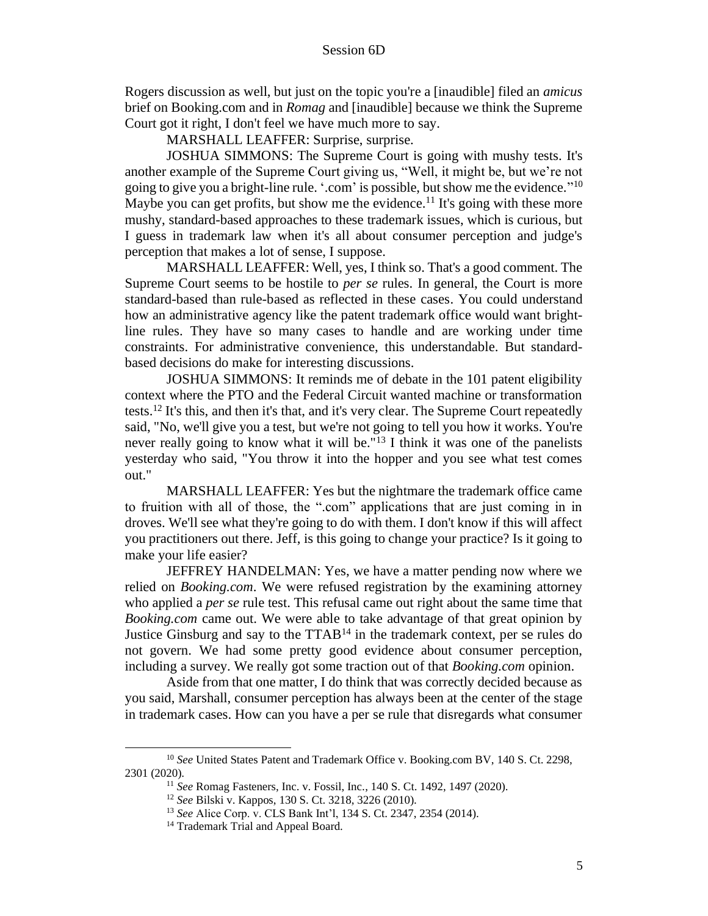Rogers discussion as well, but just on the topic you're a [inaudible] filed an *amicus* brief on Booking.com and in *Romag* and [inaudible] because we think the Supreme Court got it right, I don't feel we have much more to say.

MARSHALL LEAFFER: Surprise, surprise.

JOSHUA SIMMONS: The Supreme Court is going with mushy tests. It's another example of the Supreme Court giving us, "Well, it might be, but we're not going to give you a bright-line rule. '.com' is possible, but show me the evidence."<sup>10</sup> Maybe you can get profits, but show me the evidence.<sup>11</sup> It's going with these more mushy, standard-based approaches to these trademark issues, which is curious, but I guess in trademark law when it's all about consumer perception and judge's perception that makes a lot of sense, I suppose.

MARSHALL LEAFFER: Well, yes, I think so. That's a good comment. The Supreme Court seems to be hostile to *per se* rules. In general, the Court is more standard-based than rule-based as reflected in these cases. You could understand how an administrative agency like the patent trademark office would want brightline rules. They have so many cases to handle and are working under time constraints. For administrative convenience, this understandable. But standardbased decisions do make for interesting discussions.

JOSHUA SIMMONS: It reminds me of debate in the 101 patent eligibility context where the PTO and the Federal Circuit wanted machine or transformation tests.<sup>12</sup> It's this, and then it's that, and it's very clear. The Supreme Court repeatedly said, "No, we'll give you a test, but we're not going to tell you how it works. You're never really going to know what it will be."<sup>13</sup> I think it was one of the panelists yesterday who said, "You throw it into the hopper and you see what test comes out."

MARSHALL LEAFFER: Yes but the nightmare the trademark office came to fruition with all of those, the ".com" applications that are just coming in in droves. We'll see what they're going to do with them. I don't know if this will affect you practitioners out there. Jeff, is this going to change your practice? Is it going to make your life easier?

JEFFREY HANDELMAN: Yes, we have a matter pending now where we relied on *Booking.com*. We were refused registration by the examining attorney who applied a *per se* rule test. This refusal came out right about the same time that *Booking.com* came out. We were able to take advantage of that great opinion by Justice Ginsburg and say to the  $TTAB<sup>14</sup>$  in the trademark context, per se rules do not govern. We had some pretty good evidence about consumer perception, including a survey. We really got some traction out of that *Booking.com* opinion.

Aside from that one matter, I do think that was correctly decided because as you said, Marshall, consumer perception has always been at the center of the stage in trademark cases. How can you have a per se rule that disregards what consumer

<sup>&</sup>lt;sup>10</sup> See United States Patent and Trademark Office v. Booking.com BV, 140 S. Ct. 2298, 2301 (2020).

<sup>11</sup> *See* Romag Fasteners, Inc. v. Fossil, Inc*.*, 140 S. Ct. 1492, 1497 (2020).

<sup>12</sup> *See* Bilski v. Kappos, 130 S. Ct. 3218, 3226 (2010).

<sup>13</sup> *See* Alice Corp. v. CLS Bank Int'l, 134 S. Ct. 2347, 2354 (2014).

<sup>&</sup>lt;sup>14</sup> Trademark Trial and Appeal Board.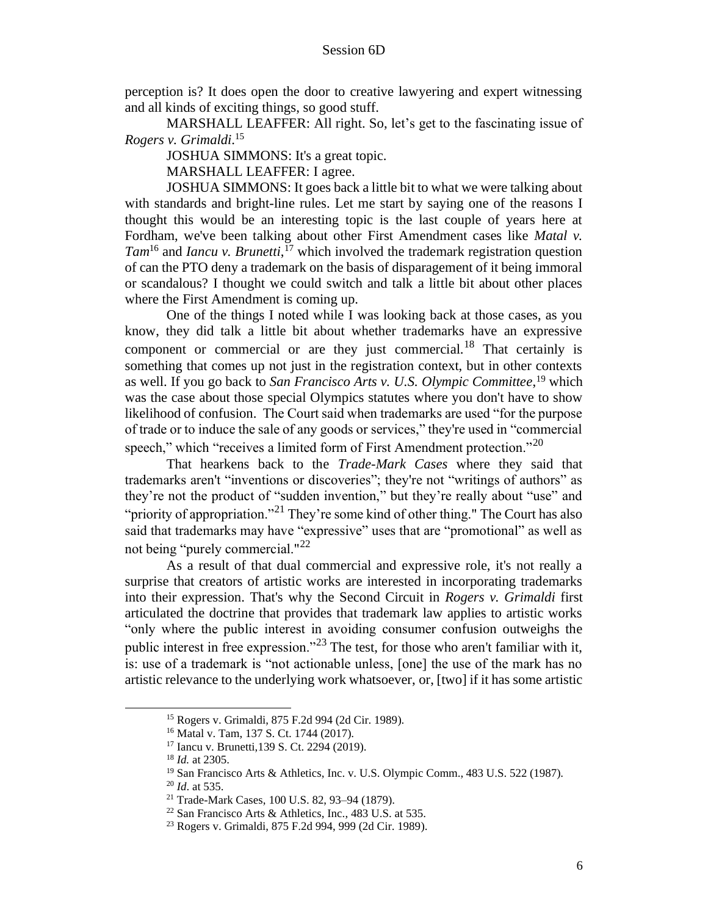perception is? It does open the door to creative lawyering and expert witnessing and all kinds of exciting things, so good stuff.

MARSHALL LEAFFER: All right. So, let's get to the fascinating issue of *Rogers v. Grimaldi*. 15

JOSHUA SIMMONS: It's a great topic.

MARSHALL LEAFFER: I agree.

JOSHUA SIMMONS: It goes back a little bit to what we were talking about with standards and bright-line rules. Let me start by saying one of the reasons I thought this would be an interesting topic is the last couple of years here at Fordham, we've been talking about other First Amendment cases like *Matal v. Tam*<sup>16</sup> and *Iancu v. Brunetti*, <sup>17</sup> which involved the trademark registration question of can the PTO deny a trademark on the basis of disparagement of it being immoral or scandalous? I thought we could switch and talk a little bit about other places where the First Amendment is coming up.

One of the things I noted while I was looking back at those cases, as you know, they did talk a little bit about whether trademarks have an expressive component or commercial or are they just commercial.<sup>18</sup> That certainly is something that comes up not just in the registration context, but in other contexts as well. If you go back to *San Francisco Arts v. U.S. Olympic Committee*, <sup>19</sup> which was the case about those special Olympics statutes where you don't have to show likelihood of confusion. The Court said when trademarks are used "for the purpose of trade or to induce the sale of any goods or services," they're used in "commercial speech," which "receives a limited form of First Amendment protection."<sup>20</sup>

That hearkens back to the *Trade-Mark Cases* where they said that trademarks aren't "inventions or discoveries"; they're not "writings of authors" as they're not the product of "sudden invention," but they're really about "use" and "priority of appropriation."<sup>21</sup> They're some kind of other thing." The Court has also said that trademarks may have "expressive" uses that are "promotional" as well as not being "purely commercial."<sup>22</sup>

As a result of that dual commercial and expressive role, it's not really a surprise that creators of artistic works are interested in incorporating trademarks into their expression. That's why the Second Circuit in *Rogers v. Grimaldi* first articulated the doctrine that provides that trademark law applies to artistic works "only where the public interest in avoiding consumer confusion outweighs the public interest in free expression."<sup>23</sup> The test, for those who aren't familiar with it, is: use of a trademark is "not actionable unless, [one] the use of the mark has no artistic relevance to the underlying work whatsoever, or, [two] if it has some artistic

<sup>15</sup> Rogers v. Grimaldi, 875 F.2d 994 (2d Cir. 1989).

<sup>16</sup> Matal v. Tam, 137 S. Ct. 1744 (2017).

<sup>17</sup> Iancu v. Brunetti,139 S. Ct. 2294 (2019).

<sup>18</sup> *Id.* at 2305.

<sup>19</sup> San Francisco Arts & Athletics, Inc. v. U.S. Olympic Comm., 483 U.S. 522 (1987).

<sup>20</sup> *Id*. at 535.

<sup>21</sup> Trade-Mark Cases, 100 U.S. 82, 93–94 (1879).

<sup>22</sup> San Francisco Arts & Athletics, Inc., 483 U.S. at 535.

<sup>23</sup> Rogers v. Grimaldi, 875 F.2d 994, 999 (2d Cir. 1989).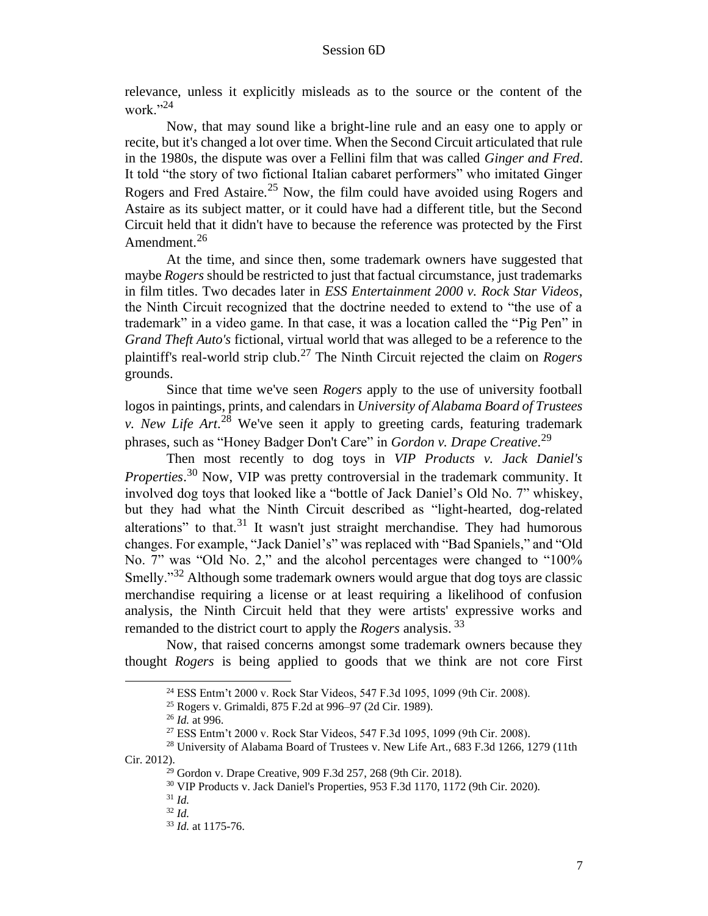relevance, unless it explicitly misleads as to the source or the content of the work." $^{24}$ 

Now, that may sound like a bright-line rule and an easy one to apply or recite, but it's changed a lot over time. When the Second Circuit articulated that rule in the 1980s, the dispute was over a Fellini film that was called *Ginger and Fred*. It told "the story of two fictional Italian cabaret performers" who imitated Ginger Rogers and Fred Astaire.<sup>25</sup> Now, the film could have avoided using Rogers and Astaire as its subject matter, or it could have had a different title, but the Second Circuit held that it didn't have to because the reference was protected by the First Amendment.<sup>26</sup>

At the time, and since then, some trademark owners have suggested that maybe *Rogers* should be restricted to just that factual circumstance, just trademarks in film titles. Two decades later in *ESS Entertainment 2000 v. Rock Star Videos*, the Ninth Circuit recognized that the doctrine needed to extend to "the use of a trademark" in a video game. In that case, it was a location called the "Pig Pen" in *Grand Theft Auto's* fictional, virtual world that was alleged to be a reference to the plaintiff's real-world strip club.<sup>27</sup> The Ninth Circuit rejected the claim on *Rogers* grounds.

Since that time we've seen *Rogers* apply to the use of university football logos in paintings, prints, and calendars in *University of Alabama Board of Trustees v. New Life Art*. <sup>28</sup> We've seen it apply to greeting cards, featuring trademark phrases, such as "Honey Badger Don't Care" in *Gordon v. Drape Creative*. 29

Then most recently to dog toys in *VIP Products v. Jack Daniel's Properties*. <sup>30</sup> Now, VIP was pretty controversial in the trademark community. It involved dog toys that looked like a "bottle of Jack Daniel's Old No. 7" whiskey, but they had what the Ninth Circuit described as "light-hearted, dog-related alterations" to that.<sup>31</sup> It wasn't just straight merchandise. They had humorous changes. For example, "Jack Daniel's" was replaced with "Bad Spaniels," and "Old No. 7" was "Old No. 2," and the alcohol percentages were changed to "100% Smelly."<sup>32</sup> Although some trademark owners would argue that dog toys are classic merchandise requiring a license or at least requiring a likelihood of confusion analysis, the Ninth Circuit held that they were artists' expressive works and remanded to the district court to apply the *Rogers* analysis. <sup>33</sup>

Now, that raised concerns amongst some trademark owners because they thought *Rogers* is being applied to goods that we think are not core First

<sup>24</sup> ESS Entm't 2000 v. Rock Star Videos, 547 F.3d 1095, 1099 (9th Cir. 2008).

<sup>25</sup> Rogers v. Grimaldi, 875 F.2d at 996–97 (2d Cir. 1989).

<sup>26</sup> *Id.* at 996.

<sup>27</sup> ESS Entm't 2000 v. Rock Star Videos, 547 F.3d 1095, 1099 (9th Cir. 2008).

<sup>&</sup>lt;sup>28</sup> University of Alabama Board of Trustees v. New Life Art., 683 F.3d 1266, 1279 (11th Cir. 2012).

<sup>29</sup> Gordon v. Drape Creative, 909 F.3d 257, 268 (9th Cir. 2018).

<sup>30</sup> VIP Products v. Jack Daniel's Properties, 953 F.3d 1170, 1172 (9th Cir. 2020).

<sup>31</sup> *Id.*

<sup>32</sup> *Id.*

<sup>33</sup> *Id.* at 1175-76.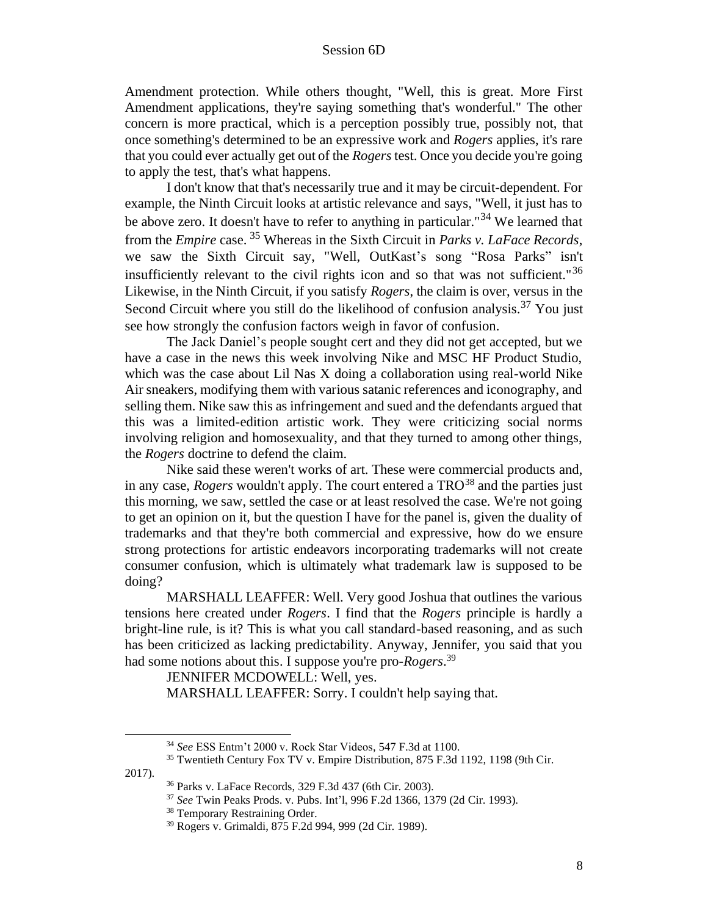Amendment protection. While others thought, "Well, this is great. More First Amendment applications, they're saying something that's wonderful." The other concern is more practical, which is a perception possibly true, possibly not, that once something's determined to be an expressive work and *Rogers* applies, it's rare that you could ever actually get out of the *Rogers* test. Once you decide you're going to apply the test, that's what happens.

I don't know that that's necessarily true and it may be circuit-dependent. For example, the Ninth Circuit looks at artistic relevance and says, "Well, it just has to be above zero. It doesn't have to refer to anything in particular."<sup>34</sup> We learned that from the *Empire* case. <sup>35</sup> Whereas in the Sixth Circuit in *Parks v. LaFace Records*, we saw the Sixth Circuit say, "Well, OutKast's song "Rosa Parks" isn't insufficiently relevant to the civil rights icon and so that was not sufficient."<sup>36</sup> Likewise, in the Ninth Circuit, if you satisfy *Rogers*, the claim is over, versus in the Second Circuit where you still do the likelihood of confusion analysis.<sup>37</sup> You just see how strongly the confusion factors weigh in favor of confusion.

The Jack Daniel's people sought cert and they did not get accepted, but we have a case in the news this week involving Nike and MSC HF Product Studio, which was the case about Lil Nas X doing a collaboration using real-world Nike Air sneakers, modifying them with various satanic references and iconography, and selling them. Nike saw this as infringement and sued and the defendants argued that this was a limited-edition artistic work. They were criticizing social norms involving religion and homosexuality, and that they turned to among other things, the *Rogers* doctrine to defend the claim.

Nike said these weren't works of art. These were commercial products and, in any case, *Rogers* wouldn't apply. The court entered a  $TRO<sup>38</sup>$  and the parties just this morning, we saw, settled the case or at least resolved the case. We're not going to get an opinion on it, but the question I have for the panel is, given the duality of trademarks and that they're both commercial and expressive, how do we ensure strong protections for artistic endeavors incorporating trademarks will not create consumer confusion, which is ultimately what trademark law is supposed to be doing?

MARSHALL LEAFFER: Well. Very good Joshua that outlines the various tensions here created under *Rogers*. I find that the *Rogers* principle is hardly a bright-line rule, is it? This is what you call standard-based reasoning, and as such has been criticized as lacking predictability. Anyway, Jennifer, you said that you had some notions about this. I suppose you're pro-*Rogers*. 39

JENNIFER MCDOWELL: Well, yes. MARSHALL LEAFFER: Sorry. I couldn't help saying that.

<sup>34</sup> *See* ESS Entm't 2000 v. Rock Star Videos, 547 F.3d at 1100.

<sup>&</sup>lt;sup>35</sup> Twentieth Century Fox TV v. Empire Distribution, 875 F.3d 1192, 1198 (9th Cir. 2017).

<sup>36</sup> Parks v. LaFace Records, 329 F.3d 437 (6th Cir. 2003).

<sup>37</sup> *See* Twin Peaks Prods. v. Pubs. Int'l, 996 F.2d 1366, 1379 (2d Cir. 1993).

<sup>38</sup> Temporary Restraining Order.

<sup>39</sup> Rogers v. Grimaldi, 875 F.2d 994, 999 (2d Cir. 1989).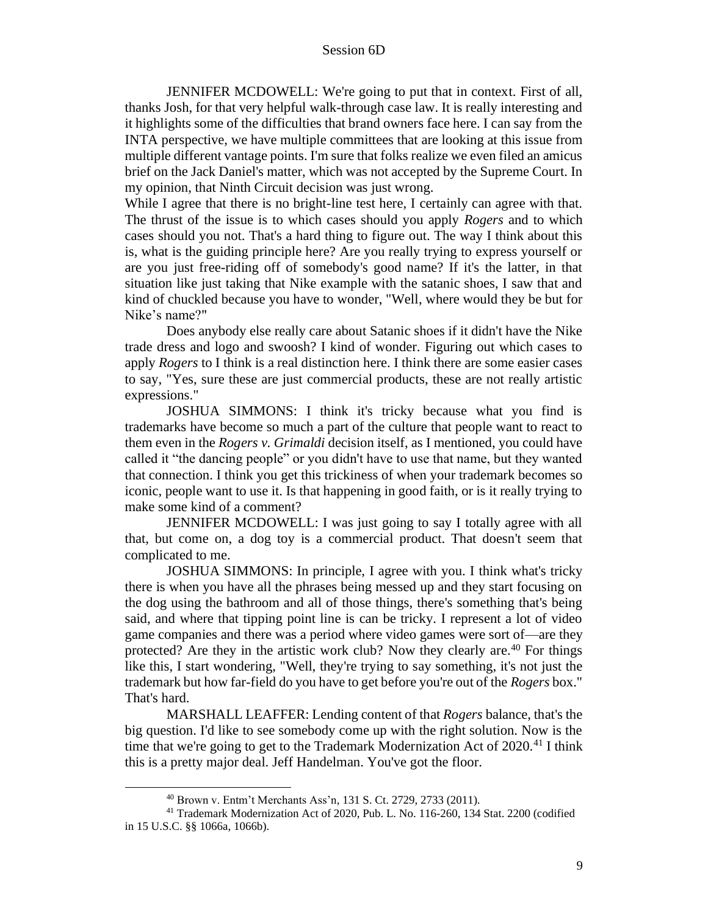JENNIFER MCDOWELL: We're going to put that in context. First of all, thanks Josh, for that very helpful walk-through case law. It is really interesting and it highlights some of the difficulties that brand owners face here. I can say from the INTA perspective, we have multiple committees that are looking at this issue from multiple different vantage points. I'm sure that folks realize we even filed an amicus brief on the Jack Daniel's matter, which was not accepted by the Supreme Court. In my opinion, that Ninth Circuit decision was just wrong.

While I agree that there is no bright-line test here, I certainly can agree with that. The thrust of the issue is to which cases should you apply *Rogers* and to which cases should you not. That's a hard thing to figure out. The way I think about this is, what is the guiding principle here? Are you really trying to express yourself or are you just free-riding off of somebody's good name? If it's the latter, in that situation like just taking that Nike example with the satanic shoes, I saw that and kind of chuckled because you have to wonder, "Well, where would they be but for Nike's name?"

Does anybody else really care about Satanic shoes if it didn't have the Nike trade dress and logo and swoosh? I kind of wonder. Figuring out which cases to apply *Rogers* to I think is a real distinction here. I think there are some easier cases to say, "Yes, sure these are just commercial products, these are not really artistic expressions."

JOSHUA SIMMONS: I think it's tricky because what you find is trademarks have become so much a part of the culture that people want to react to them even in the *Rogers v. Grimaldi* decision itself, as I mentioned, you could have called it "the dancing people" or you didn't have to use that name, but they wanted that connection. I think you get this trickiness of when your trademark becomes so iconic, people want to use it. Is that happening in good faith, or is it really trying to make some kind of a comment?

JENNIFER MCDOWELL: I was just going to say I totally agree with all that, but come on, a dog toy is a commercial product. That doesn't seem that complicated to me.

JOSHUA SIMMONS: In principle, I agree with you. I think what's tricky there is when you have all the phrases being messed up and they start focusing on the dog using the bathroom and all of those things, there's something that's being said, and where that tipping point line is can be tricky. I represent a lot of video game companies and there was a period where video games were sort of—are they protected? Are they in the artistic work club? Now they clearly are.<sup>40</sup> For things like this, I start wondering, "Well, they're trying to say something, it's not just the trademark but how far-field do you have to get before you're out of the *Rogers* box." That's hard.

MARSHALL LEAFFER: Lending content of that *Rogers* balance, that's the big question. I'd like to see somebody come up with the right solution. Now is the time that we're going to get to the Trademark Modernization Act of  $2020.^{41}$  I think this is a pretty major deal. Jeff Handelman. You've got the floor.

<sup>40</sup> Brown v. Entm't Merchants Ass'n, 131 S. Ct. 2729, 2733 (2011).

<sup>41</sup> Trademark Modernization Act of 2020, Pub. L. No. 116-260, 134 Stat. 2200 (codified in 15 U.S.C. §§ 1066a, 1066b).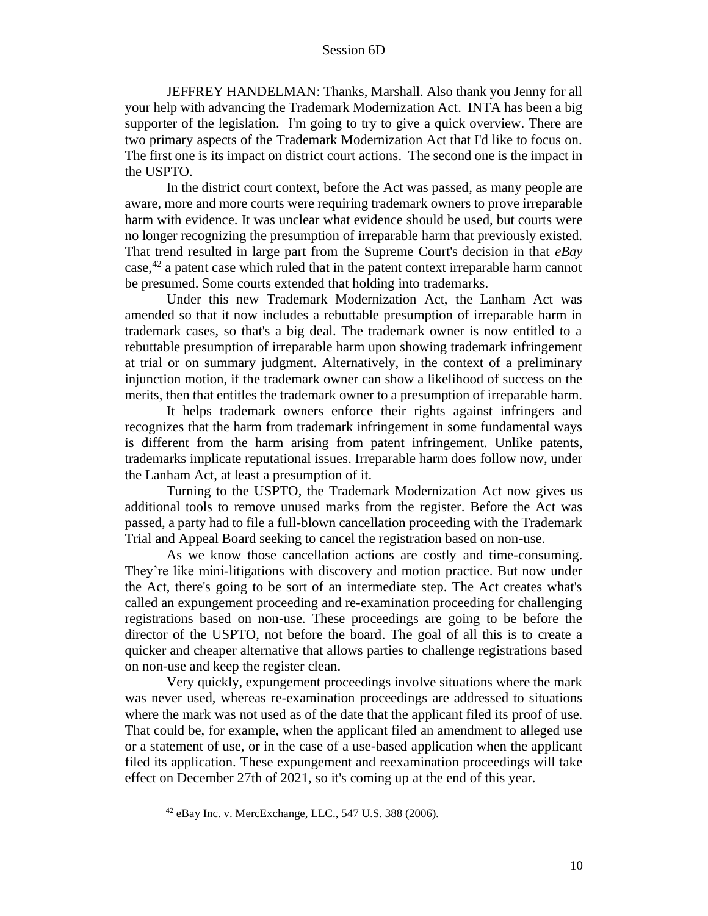JEFFREY HANDELMAN: Thanks, Marshall. Also thank you Jenny for all your help with advancing the Trademark Modernization Act. INTA has been a big supporter of the legislation. I'm going to try to give a quick overview. There are two primary aspects of the Trademark Modernization Act that I'd like to focus on. The first one is its impact on district court actions. The second one is the impact in the USPTO.

In the district court context, before the Act was passed, as many people are aware, more and more courts were requiring trademark owners to prove irreparable harm with evidence. It was unclear what evidence should be used, but courts were no longer recognizing the presumption of irreparable harm that previously existed. That trend resulted in large part from the Supreme Court's decision in that *eBay*  $case, <sup>42</sup>$  a patent case which ruled that in the patent context irreparable harm cannot be presumed. Some courts extended that holding into trademarks.

Under this new Trademark Modernization Act, the Lanham Act was amended so that it now includes a rebuttable presumption of irreparable harm in trademark cases, so that's a big deal. The trademark owner is now entitled to a rebuttable presumption of irreparable harm upon showing trademark infringement at trial or on summary judgment. Alternatively, in the context of a preliminary injunction motion, if the trademark owner can show a likelihood of success on the merits, then that entitles the trademark owner to a presumption of irreparable harm.

It helps trademark owners enforce their rights against infringers and recognizes that the harm from trademark infringement in some fundamental ways is different from the harm arising from patent infringement. Unlike patents, trademarks implicate reputational issues. Irreparable harm does follow now, under the Lanham Act, at least a presumption of it.

Turning to the USPTO, the Trademark Modernization Act now gives us additional tools to remove unused marks from the register. Before the Act was passed, a party had to file a full-blown cancellation proceeding with the Trademark Trial and Appeal Board seeking to cancel the registration based on non-use.

As we know those cancellation actions are costly and time-consuming. They're like mini-litigations with discovery and motion practice. But now under the Act, there's going to be sort of an intermediate step. The Act creates what's called an expungement proceeding and re-examination proceeding for challenging registrations based on non-use. These proceedings are going to be before the director of the USPTO, not before the board. The goal of all this is to create a quicker and cheaper alternative that allows parties to challenge registrations based on non-use and keep the register clean.

Very quickly, expungement proceedings involve situations where the mark was never used, whereas re-examination proceedings are addressed to situations where the mark was not used as of the date that the applicant filed its proof of use. That could be, for example, when the applicant filed an amendment to alleged use or a statement of use, or in the case of a use-based application when the applicant filed its application. These expungement and reexamination proceedings will take effect on December 27th of 2021, so it's coming up at the end of this year.

<sup>42</sup> eBay Inc. v. MercExchange, LLC., 547 U.S. 388 (2006).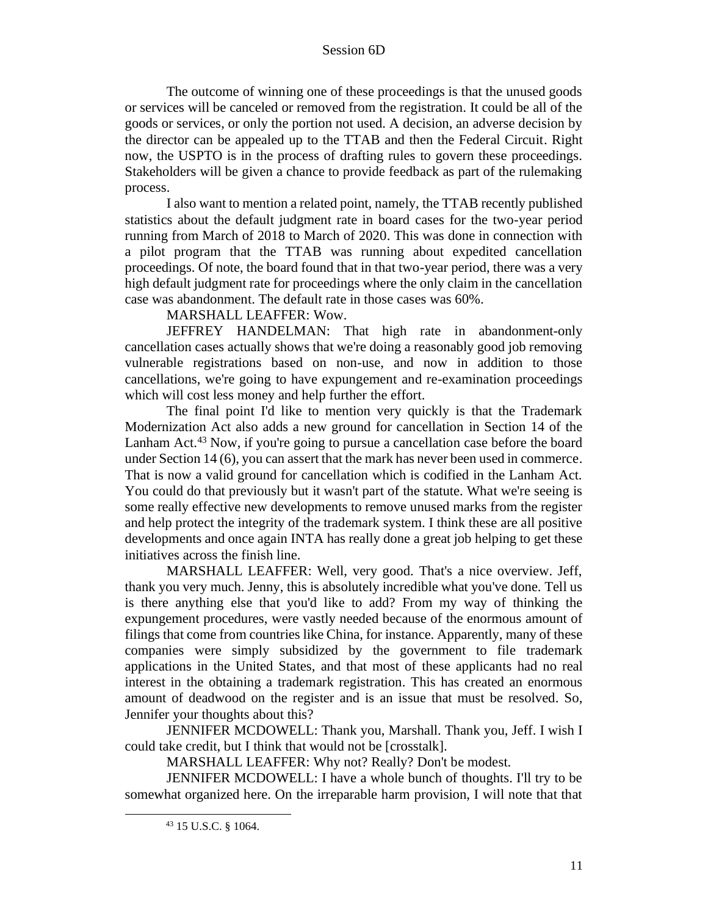The outcome of winning one of these proceedings is that the unused goods or services will be canceled or removed from the registration. It could be all of the goods or services, or only the portion not used. A decision, an adverse decision by the director can be appealed up to the TTAB and then the Federal Circuit. Right now, the USPTO is in the process of drafting rules to govern these proceedings. Stakeholders will be given a chance to provide feedback as part of the rulemaking process.

I also want to mention a related point, namely, the TTAB recently published statistics about the default judgment rate in board cases for the two-year period running from March of 2018 to March of 2020. This was done in connection with a pilot program that the TTAB was running about expedited cancellation proceedings. Of note, the board found that in that two-year period, there was a very high default judgment rate for proceedings where the only claim in the cancellation case was abandonment. The default rate in those cases was 60%.

MARSHALL LEAFFER: Wow.

JEFFREY HANDELMAN: That high rate in abandonment-only cancellation cases actually shows that we're doing a reasonably good job removing vulnerable registrations based on non-use, and now in addition to those cancellations, we're going to have expungement and re-examination proceedings which will cost less money and help further the effort.

The final point I'd like to mention very quickly is that the Trademark Modernization Act also adds a new ground for cancellation in Section 14 of the Lanham Act.<sup>43</sup> Now, if you're going to pursue a cancellation case before the board under Section 14 (6), you can assert that the mark has never been used in commerce. That is now a valid ground for cancellation which is codified in the Lanham Act. You could do that previously but it wasn't part of the statute. What we're seeing is some really effective new developments to remove unused marks from the register and help protect the integrity of the trademark system. I think these are all positive developments and once again INTA has really done a great job helping to get these initiatives across the finish line.

MARSHALL LEAFFER: Well, very good. That's a nice overview. Jeff, thank you very much. Jenny, this is absolutely incredible what you've done. Tell us is there anything else that you'd like to add? From my way of thinking the expungement procedures, were vastly needed because of the enormous amount of filings that come from countries like China, for instance. Apparently, many of these companies were simply subsidized by the government to file trademark applications in the United States, and that most of these applicants had no real interest in the obtaining a trademark registration. This has created an enormous amount of deadwood on the register and is an issue that must be resolved. So, Jennifer your thoughts about this?

JENNIFER MCDOWELL: Thank you, Marshall. Thank you, Jeff. I wish I could take credit, but I think that would not be [crosstalk].

MARSHALL LEAFFER: Why not? Really? Don't be modest.

JENNIFER MCDOWELL: I have a whole bunch of thoughts. I'll try to be somewhat organized here. On the irreparable harm provision, I will note that that

<sup>43</sup> 15 U.S.C. § 1064.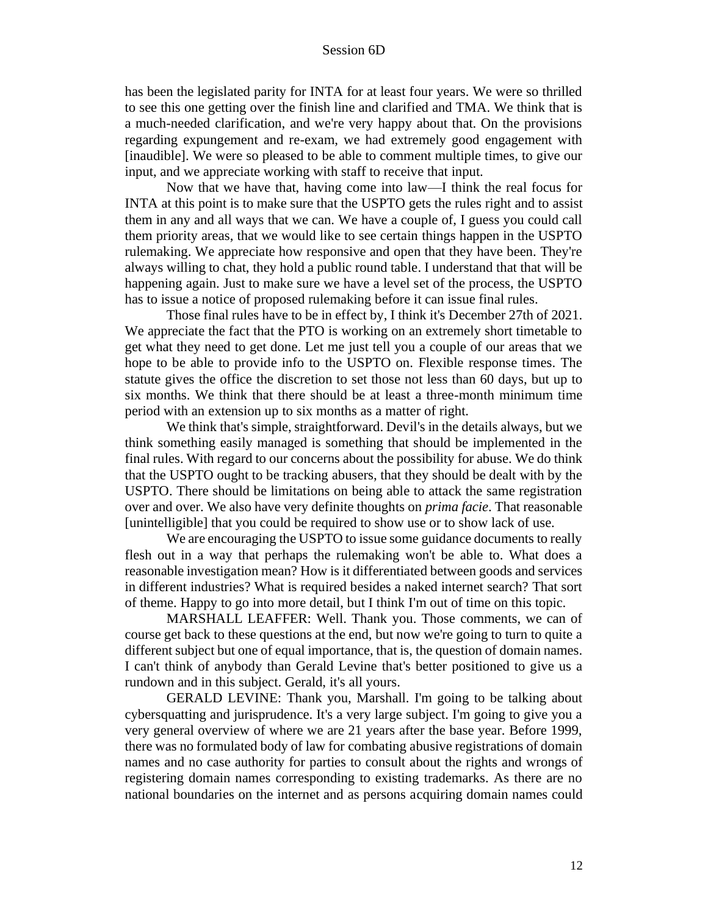has been the legislated parity for INTA for at least four years. We were so thrilled to see this one getting over the finish line and clarified and TMA. We think that is a much-needed clarification, and we're very happy about that. On the provisions regarding expungement and re-exam, we had extremely good engagement with [inaudible]. We were so pleased to be able to comment multiple times, to give our input, and we appreciate working with staff to receive that input.

Now that we have that, having come into law—I think the real focus for INTA at this point is to make sure that the USPTO gets the rules right and to assist them in any and all ways that we can. We have a couple of, I guess you could call them priority areas, that we would like to see certain things happen in the USPTO rulemaking. We appreciate how responsive and open that they have been. They're always willing to chat, they hold a public round table. I understand that that will be happening again. Just to make sure we have a level set of the process, the USPTO has to issue a notice of proposed rulemaking before it can issue final rules.

Those final rules have to be in effect by, I think it's December 27th of 2021. We appreciate the fact that the PTO is working on an extremely short timetable to get what they need to get done. Let me just tell you a couple of our areas that we hope to be able to provide info to the USPTO on. Flexible response times. The statute gives the office the discretion to set those not less than 60 days, but up to six months. We think that there should be at least a three-month minimum time period with an extension up to six months as a matter of right.

We think that's simple, straightforward. Devil's in the details always, but we think something easily managed is something that should be implemented in the final rules. With regard to our concerns about the possibility for abuse. We do think that the USPTO ought to be tracking abusers, that they should be dealt with by the USPTO. There should be limitations on being able to attack the same registration over and over. We also have very definite thoughts on *prima facie*. That reasonable [unintelligible] that you could be required to show use or to show lack of use.

We are encouraging the USPTO to issue some guidance documents to really flesh out in a way that perhaps the rulemaking won't be able to. What does a reasonable investigation mean? How is it differentiated between goods and services in different industries? What is required besides a naked internet search? That sort of theme. Happy to go into more detail, but I think I'm out of time on this topic.

MARSHALL LEAFFER: Well. Thank you. Those comments, we can of course get back to these questions at the end, but now we're going to turn to quite a different subject but one of equal importance, that is, the question of domain names. I can't think of anybody than Gerald Levine that's better positioned to give us a rundown and in this subject. Gerald, it's all yours.

GERALD LEVINE: Thank you, Marshall. I'm going to be talking about cybersquatting and jurisprudence. It's a very large subject. I'm going to give you a very general overview of where we are 21 years after the base year. Before 1999, there was no formulated body of law for combating abusive registrations of domain names and no case authority for parties to consult about the rights and wrongs of registering domain names corresponding to existing trademarks. As there are no national boundaries on the internet and as persons acquiring domain names could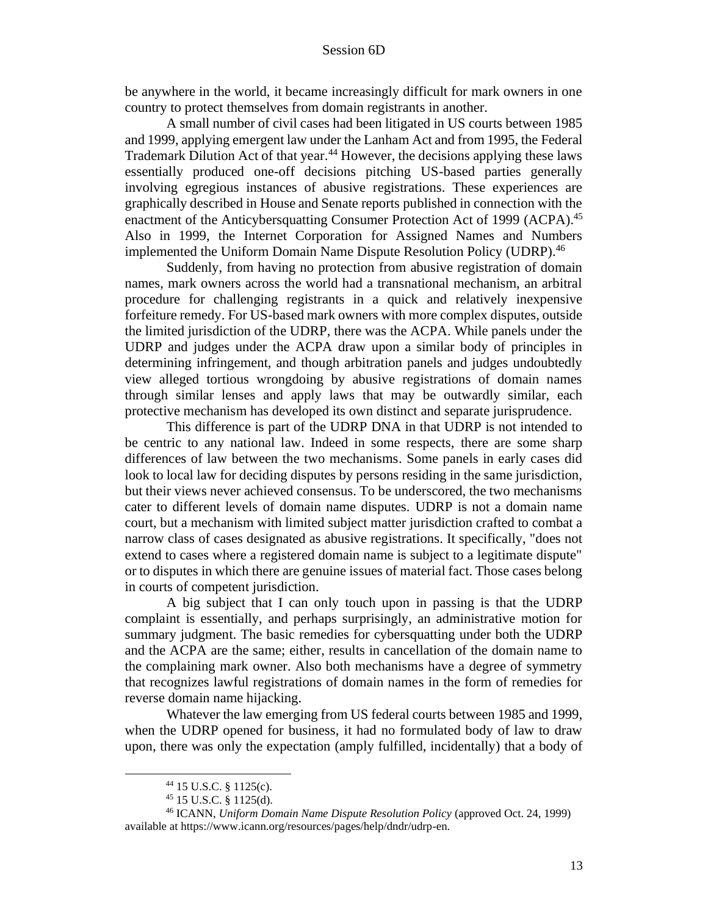be anywhere in the world, it became increasingly difficult for mark owners in one country to protect themselves from domain registrants in another.

A small number of civil cases had been litigated in US courts between 1985 and 1999, applying emergent law under the Lanham Act and from 1995, the Federal Trademark Dilution Act of that year. <sup>44</sup> However, the decisions applying these laws essentially produced one-off decisions pitching US-based parties generally involving egregious instances of abusive registrations. These experiences are graphically described in House and Senate reports published in connection with the enactment of the Anticybersquatting Consumer Protection Act of 1999 (ACPA).<sup>45</sup> Also in 1999, the Internet Corporation for Assigned Names and Numbers implemented the Uniform Domain Name Dispute Resolution Policy (UDRP). 46

Suddenly, from having no protection from abusive registration of domain names, mark owners across the world had a transnational mechanism, an arbitral procedure for challenging registrants in a quick and relatively inexpensive forfeiture remedy. For US-based mark owners with more complex disputes, outside the limited jurisdiction of the UDRP, there was the ACPA. While panels under the UDRP and judges under the ACPA draw upon a similar body of principles in determining infringement, and though arbitration panels and judges undoubtedly view alleged tortious wrongdoing by abusive registrations of domain names through similar lenses and apply laws that may be outwardly similar, each protective mechanism has developed its own distinct and separate jurisprudence.

This difference is part of the UDRP DNA in that UDRP is not intended to be centric to any national law. Indeed in some respects, there are some sharp differences of law between the two mechanisms. Some panels in early cases did look to local law for deciding disputes by persons residing in the same jurisdiction, but their views never achieved consensus. To be underscored, the two mechanisms cater to different levels of domain name disputes. UDRP is not a domain name court, but a mechanism with limited subject matter jurisdiction crafted to combat a narrow class of cases designated as abusive registrations. It specifically, "does not extend to cases where a registered domain name is subject to a legitimate dispute" or to disputes in which there are genuine issues of material fact. Those cases belong in courts of competent jurisdiction.

A big subject that I can only touch upon in passing is that the UDRP complaint is essentially, and perhaps surprisingly, an administrative motion for summary judgment. The basic remedies for cybersquatting under both the UDRP and the ACPA are the same; either, results in cancellation of the domain name to the complaining mark owner. Also both mechanisms have a degree of symmetry that recognizes lawful registrations of domain names in the form of remedies for reverse domain name hijacking.

Whatever the law emerging from US federal courts between 1985 and 1999, when the UDRP opened for business, it had no formulated body of law to draw upon, there was only the expectation (amply fulfilled, incidentally) that a body of

<sup>44</sup> 15 U.S.C. § 1125(c).

<sup>45</sup> 15 U.S.C. § 1125(d).

<sup>46</sup> ICANN, *Uniform Domain Name Dispute Resolution Policy* (approved Oct. 24, 1999) available at https://www.icann.org/resources/pages/help/dndr/udrp-en.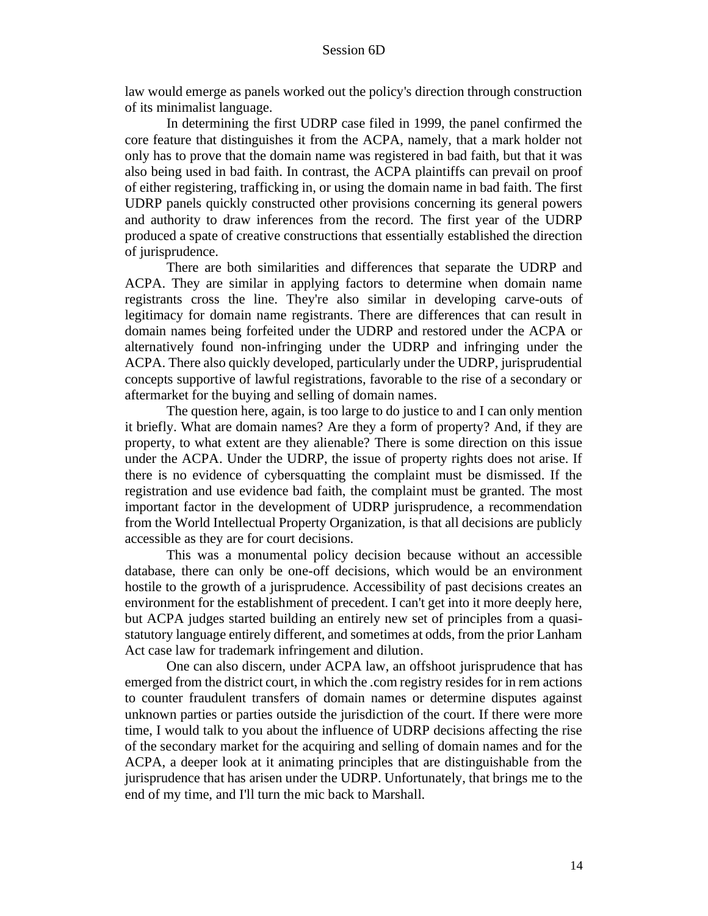law would emerge as panels worked out the policy's direction through construction of its minimalist language.

In determining the first UDRP case filed in 1999, the panel confirmed the core feature that distinguishes it from the ACPA, namely, that a mark holder not only has to prove that the domain name was registered in bad faith, but that it was also being used in bad faith. In contrast, the ACPA plaintiffs can prevail on proof of either registering, trafficking in, or using the domain name in bad faith. The first UDRP panels quickly constructed other provisions concerning its general powers and authority to draw inferences from the record. The first year of the UDRP produced a spate of creative constructions that essentially established the direction of jurisprudence.

There are both similarities and differences that separate the UDRP and ACPA. They are similar in applying factors to determine when domain name registrants cross the line. They're also similar in developing carve-outs of legitimacy for domain name registrants. There are differences that can result in domain names being forfeited under the UDRP and restored under the ACPA or alternatively found non-infringing under the UDRP and infringing under the ACPA. There also quickly developed, particularly under the UDRP, jurisprudential concepts supportive of lawful registrations, favorable to the rise of a secondary or aftermarket for the buying and selling of domain names.

The question here, again, is too large to do justice to and I can only mention it briefly. What are domain names? Are they a form of property? And, if they are property, to what extent are they alienable? There is some direction on this issue under the ACPA. Under the UDRP, the issue of property rights does not arise. If there is no evidence of cybersquatting the complaint must be dismissed. If the registration and use evidence bad faith, the complaint must be granted. The most important factor in the development of UDRP jurisprudence, a recommendation from the World Intellectual Property Organization, is that all decisions are publicly accessible as they are for court decisions.

This was a monumental policy decision because without an accessible database, there can only be one-off decisions, which would be an environment hostile to the growth of a jurisprudence. Accessibility of past decisions creates an environment for the establishment of precedent. I can't get into it more deeply here, but ACPA judges started building an entirely new set of principles from a quasistatutory language entirely different, and sometimes at odds, from the prior Lanham Act case law for trademark infringement and dilution.

One can also discern, under ACPA law, an offshoot jurisprudence that has emerged from the district court, in which the .com registry resides for in rem actions to counter fraudulent transfers of domain names or determine disputes against unknown parties or parties outside the jurisdiction of the court. If there were more time, I would talk to you about the influence of UDRP decisions affecting the rise of the secondary market for the acquiring and selling of domain names and for the ACPA, a deeper look at it animating principles that are distinguishable from the jurisprudence that has arisen under the UDRP. Unfortunately, that brings me to the end of my time, and I'll turn the mic back to Marshall.